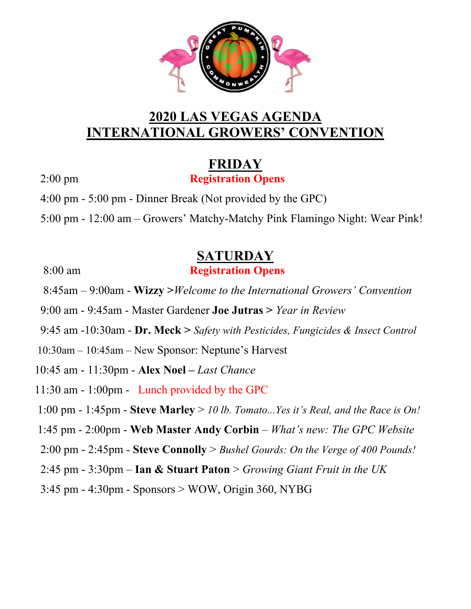

### **2020 LAS VEGAS AGENDA INTERNATIONAL GROWERS' CONVENTION**

### **FRIDAY**

2:00 pm **Registration Opens**

4:00 pm - 5:00 pm - Dinner Break (Not provided by the GPC)

5:00 pm - 12:00 am – Growers' Matchy-Matchy Pink Flamingo Night: Wear Pink!

# **SATURDAY**

#### 8:00 am **Registration Opens**

8:45am – 9:00am - **Wizzy >***Welcome to the International Growers' Convention*

9:00 am - 9:45am - Master Gardener **Joe Jutras >** *Year in Review* 

9:45 am -10:30am - **Dr. Meck >** *Safety with Pesticides, Fungicides & Insect Control* 

- 10:30am 10:45am New Sponsor: Neptune's Harvest
- 10:45 am 11:30pm **Alex Noel** *Last Chance*
- 11:30 am 1:00pm Lunch provided by the GPC
- 1:00 pm 1:45pm **Steve Marley** > *10 lb. Tomato...Yes it's Real, and the Race is On!*
- 1:45 pm 2:00pm - **Web Master Andy Corbin** *What's new: The GPC Website*
- 2:00 pm 2:45pm **Steve Connolly** > *Bushel Gourds: On the Verge of 400 Pounds!*
- 2:45 pm 3:30pm **Ian & Stuart Paton** > *Growing Giant Fruit in the UK*
- 3:45 pm 4:30pm Sponsors > WOW, Origin 360, NYBG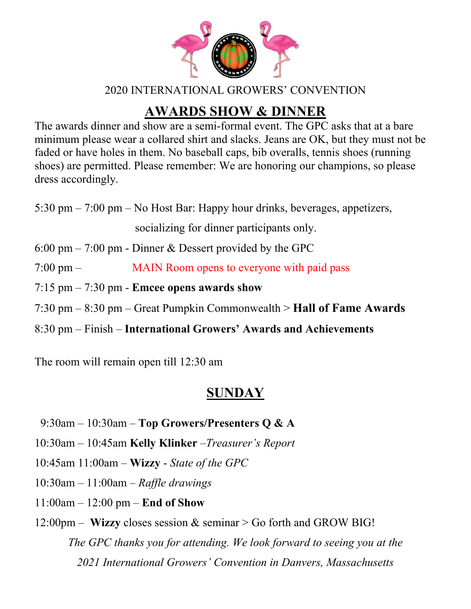

2020 INTERNATIONAL GROWERS' CONVENTION

# **AWARDS SHOW & DINNER**

The awards dinner and show are a semi-formal event. The GPC asks that at a bare minimum please wear a collared shirt and slacks. Jeans are OK, but they must not be faded or have holes in them. No baseball caps, bib overalls, tennis shoes (running shoes) are permitted. Please remember: We are honoring our champions, so please dress accordingly.

5:30 pm – 7:00 pm – No Host Bar: Happy hour drinks, beverages, appetizers,

socializing for dinner participants only.

6:00 pm – 7:00 pm - Dinner & Dessert provided by the GPC

- 7:00 pm MAIN Room opens to everyone with paid pass
- 7:15 pm 7:30 pm **Emcee opens awards show**
- 7:30 pm 8:30 pm Great Pumpkin Commonwealth > **Hall of Fame Awards**
- 8:30 pm Finish **International Growers' Awards and Achievements**

The room will remain open till 12:30 am

# **SUNDAY**

- 9:30am 10:30am – **Top Growers/Presenters Q & A**
- 10:30am 10:45am **Kelly Klinker** –*Treasurer's Report*
- 10:45am 11:00am **Wizzy** *State of the GPC*
- 10:30am 11:00am – *Raffle drawings*
- 11:00am 12:00 pm **End of Show**
- 12:00pm **Wizzy** closes session & seminar > Go forth and GROW BIG! *The GPC thanks you for attending. We look forward to seeing you at the 2021 International Growers' Convention in Danvers, Massachusetts*